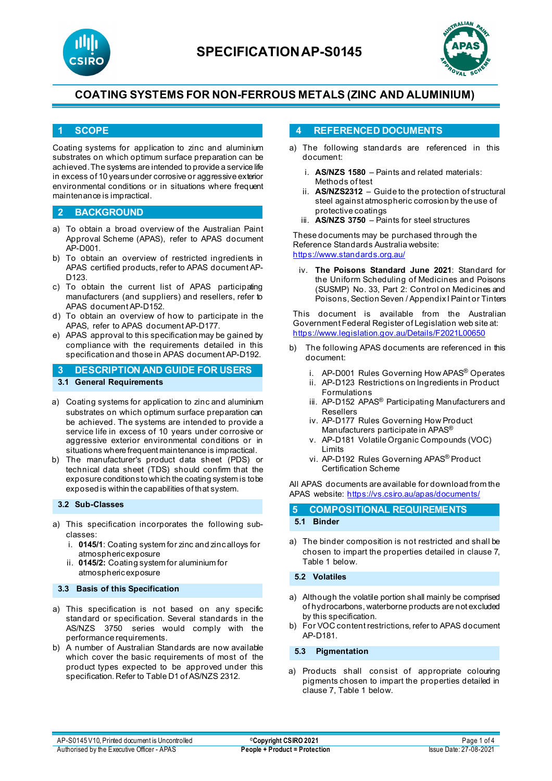



### **1 SCOPE**

Coating systems for application to zinc and aluminium substrates on which optimum surface preparation can be achieved. The systems are intended to provide a service life in excess of 10 years under corrosive or aggressive exterior environmental conditions or in situations where frequent maintenance is impractical.

#### **2 BACKGROUND**

- a) To obtain a broad overview of the Australian Paint Approval Scheme (APAS), refer to APAS document AP-D001.
- b) To obtain an overview of restricted ingredients in APAS certified products, refer to APAS document AP-D123.
- c) To obtain the current list of APAS participating manufacturers (and suppliers) and resellers, refer to APAS document AP-D152.
- d) To obtain an overview of how to participate in the APAS, refer to APAS document AP-D177.
- e) APAS approval to this specification may be gained by compliance with the requirements detailed in this specification and those in APAS document AP-D192.

## **3 DESCRIPTION AND GUIDE FOR USERS 3.1 General Requirements**

- a) Coating systems for application to zinc and aluminium substrates on which optimum surface preparation can be achieved. The systems are intended to provide a service life in excess of 10 years under corrosive or aggressive exterior environmental conditions or in situations where frequent maintenance is impractical.
- b) The manufacturer's product data sheet (PDS) or technical data sheet (TDS) should confirm that the exposure conditions to which the coating system is to be exposed is within the capabilities of that system.

#### **3.2 Sub-Classes**

- a) This specification incorporates the following subclasses:
	- i. **0145/1**: Coating system for zinc and zinc alloys for atmospheric exposure
	- ii. **0145/2:** Coating system for aluminium for atmospheric exposure

#### **3.3 Basis of this Specification**

- a) This specification is not based on any specific standard or specification. Several standards in the AS/NZS 3750 series would comply with the performance requirements.
- b) A number of Australian Standards are now available which cover the basic requirements of most of the product types expected to be approved under this specification. Refer to Table D1 of AS/NZS 2312.

### **4 REFERENCED DOCUMENTS**

- a) The following standards are referenced in this document:
	- i. **AS/NZS 1580** Paints and related materials: Methods of test
	- ii. **AS/NZS2312**  Guide to the protection of structural steel against atmospheric corrosion by the use of protective coatings
	- iii. **AS/NZS 3750**  Paints for steel structures

These documents may be purchased through the Reference Standards Australia website: <https://www.standards.org.au/>

iv. **The Poisons Standard June 2021**: Standard for the Uniform Scheduling of Medicines and Poisons (SUSMP) No. 33, Part 2: Control on Medicines and Poisons, Section Seven / Appendix I Paint or Tinters

This document is available from the Australian Government Federal Register of Legislation web site at: <https://www.legislation.gov.au/Details/F2021L00650>

- b) The following APAS documents are referenced in this document:
	- i. AP-D001 Rules Governing How APAS<sup>®</sup> Operates
	- ii. AP-D123 Restrictions on Ingredients in Product Formulations
	- iii. AP-D152 APAS<sup>®</sup> Participating Manufacturers and Resellers
	- iv. AP-D177 Rules Governing How Product Manufacturers participate in APAS®
	- v. AP-D181 Volatile Organic Compounds (VOC) Limits
	- vi. AP-D192 Rules Governing APAS® Product Certification Scheme

All APAS documents are available for download from the APAS website: <https://vs.csiro.au/apas/documents/>

| 5 COMPOSITIONAL REQUIREMENTS |
|------------------------------|
| 5.1 Binder                   |

a) The binder composition is not restricted and shall be chosen to impart the properties detailed in clause 7, Table 1 below.

### **5.2 Volatiles**

- a) Although the volatile portion shall mainly be comprised of hydrocarbons, waterborne products are not excluded by this specification.
- b) For VOC content restrictions, refer to APAS document AP-D181.

#### **5.3 Pigmentation**

a) Products shall consist of appropriate colouring pigments chosen to impart the properties detailed in clause 7, Table 1 below.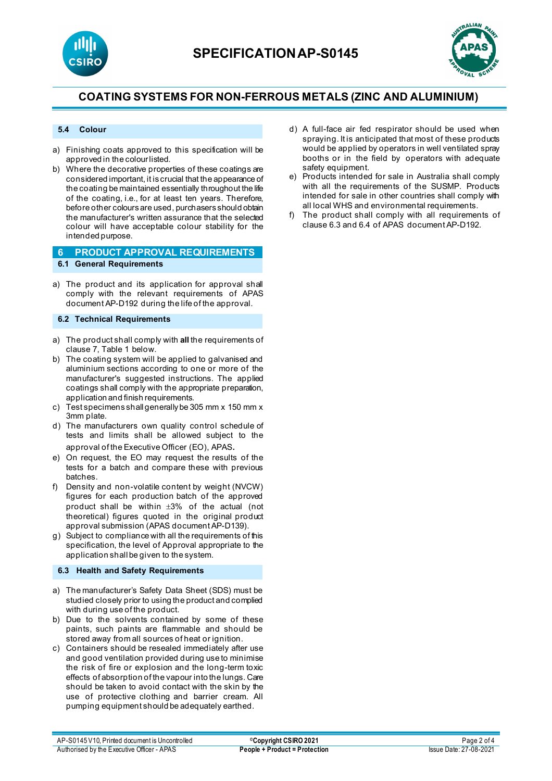



#### **5.4 Colour**

- a) Finishing coats approved to this specification will be approved in the colour listed.
- b) Where the decorative properties of these coatings are considered important, it is crucial that the appearance of the coating be maintained essentially throughout the life of the coating, i.e., for at least ten years. Therefore, before other colours are used, purchasers should obtain the manufacturer's written assurance that the selected colour will have acceptable colour stability for the intended purpose.

#### **6 PRODUCT APPROVAL REQUIREMENTS 6.1 General Requirements**

a) The product and its application for approval shall comply with the relevant requirements of APAS document AP-D192 during the life of the approval.

#### **6.2 Technical Requirements**

- a) The product shall comply with **all** the requirements of clause 7, Table 1 below.
- b) The coating system will be applied to galvanised and aluminium sections according to one or more of the manufacturer's suggested instructions. The applied coatings shall comply with the appropriate preparation, application and finish requirements.
- c) Test specimens shall generally be 305 mm x 150 mm x 3mm plate.
- d) The manufacturers own quality control schedule of tests and limits shall be allowed subject to the approval of the Executive Officer (EO), APAS.
- e) On request, the EO may request the results of the tests for a batch and compare these with previous batches.
- f) Density and non-volatile content by weight (NVCW) figures for each production batch of the approved product shall be within ±3% of the actual (not theoretical) figures quoted in the original product approval submission (APAS document AP-D139).
- g) Subject to compliance with all the requirements of this specification, the level of Approval appropriate to the application shall be given to the system.

### **6.3 Health and Safety Requirements**

- a) The manufacturer's Safety Data Sheet (SDS) must be studied closely prior to using the product and complied with during use of the product.
- b) Due to the solvents contained by some of these paints, such paints are flammable and should be stored away from all sources of heat or ignition.
- c) Containers should be resealed immediately after use and good ventilation provided during use to minimise the risk of fire or explosion and the long-term toxic effects of absorption of the vapour into the lungs. Care should be taken to avoid contact with the skin by the use of protective clothing and barrier cream. All pumping equipment should be adequately earthed.
- d) A full-face air fed respirator should be used when spraying. It is anticipated that most of these products would be applied by operators in well ventilated spray booths or in the field by operators with adequate safety equipment.
- e) Products intended for sale in Australia shall comply with all the requirements of the SUSMP. Products intended for sale in other countries shall comply with all local WHS and environmental requirements.
- f) The product shall comply with all requirements of clause 6.3 and 6.4 of APAS document AP-D192.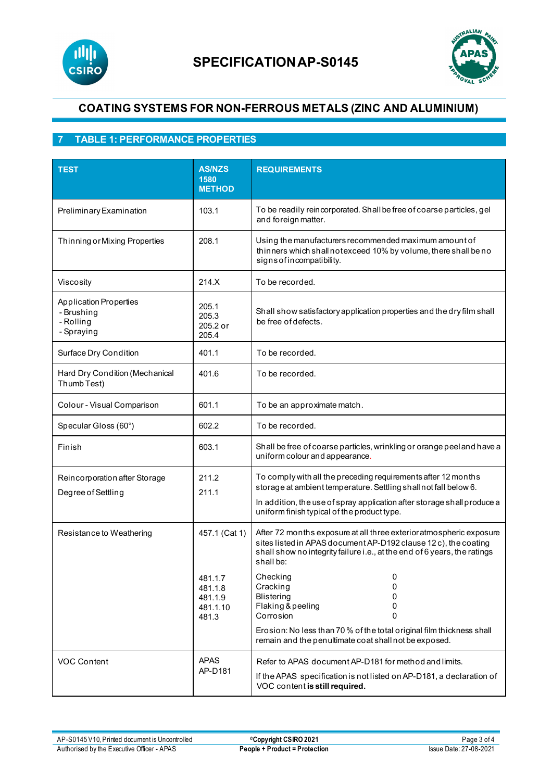



## **7 TABLE 1: PERFORMANCE PROPERTIES**

| <b>TEST</b>                                                            | <b>AS/NZS</b><br>1580<br><b>METHOD</b>             | <b>REQUIREMENTS</b>                                                                                                                                                                                                                                         |
|------------------------------------------------------------------------|----------------------------------------------------|-------------------------------------------------------------------------------------------------------------------------------------------------------------------------------------------------------------------------------------------------------------|
| Preliminary Examination                                                | 103.1                                              | To be readily reincorporated. Shall be free of coarse particles, gel<br>and foreign matter.                                                                                                                                                                 |
| Thinning or Mixing Properties                                          | 208.1                                              | Using the manufacturers recommended maximum amount of<br>thinners which shall notexceed 10% by volume, there shall be no<br>signs of incompatibility.                                                                                                       |
| Viscosity                                                              | 214.X                                              | To be recorded.                                                                                                                                                                                                                                             |
| <b>Application Properties</b><br>- Brushing<br>- Rolling<br>- Spraying | 205.1<br>205.3<br>205.2 or<br>205.4                | Shall show satisfactory application properties and the dry film shall<br>be free of defects.                                                                                                                                                                |
| Surface Dry Condition                                                  | 401.1                                              | To be recorded.                                                                                                                                                                                                                                             |
| Hard Dry Condition (Mechanical<br>Thumb Test)                          | 401.6                                              | To be recorded.                                                                                                                                                                                                                                             |
| Colour - Visual Comparison                                             | 601.1                                              | To be an approximate match.                                                                                                                                                                                                                                 |
| Specular Gloss (60°)                                                   | 602.2                                              | To be recorded.                                                                                                                                                                                                                                             |
| Finish                                                                 | 603.1                                              | Shall be free of coarse particles, wrinkling or orange peel and have a<br>uniform colour and appearance.                                                                                                                                                    |
| Reincorporation after Storage<br>Degree of Settling                    | 211.2<br>211.1                                     | To comply with all the preceding requirements after 12 months<br>storage at ambient temperature. Settling shall not fall below 6.<br>In addition, the use of spray application after storage shall produce a<br>uniform finish typical of the product type. |
| Resistance to Weathering                                               | 457.1 (Cat 1)                                      | After 72 months exposure at all three exterior atmospheric exposure<br>sites listed in APAS document AP-D192 clause 12 c), the coating<br>shall show no integrity failure i.e., at the end of 6 years, the ratings<br>shall be:                             |
|                                                                        | 481.1.7<br>481.1.8<br>481.1.9<br>481.1.10<br>481.3 | Checking<br>0<br>Cracking<br>0<br>Blistering<br>0<br>Flaking & peeling<br>0<br>Corrosion<br>0                                                                                                                                                               |
|                                                                        |                                                    | Erosion: No less than 70 % of the total original film thickness shall<br>remain and the penultimate coat shall not be exposed.                                                                                                                              |
| <b>VOC Content</b>                                                     | <b>APAS</b><br>AP-D181                             | Refer to APAS document AP-D181 for method and limits.<br>If the APAS specification is not listed on AP-D181, a declaration of<br>VOC content is still required.                                                                                             |